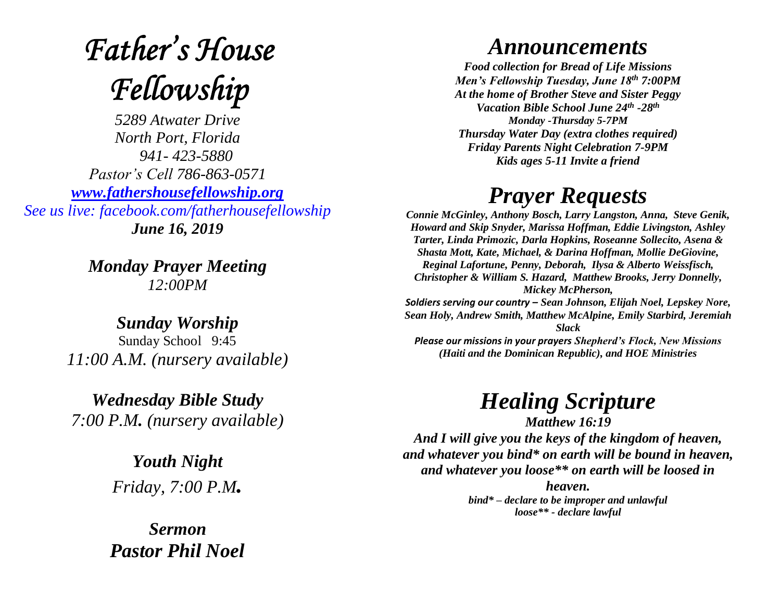## **Father's House** Fellowship

*5289 Atwater Drive North Port, Florida 941- 423-5880 Pastor's Cell 786-863-0571 [www.fathershousefellowship.org](http://www.fathershousefellowship.org/) See us live: facebook.com/fatherhousefellowship June 16, 2019*

> *Monday Prayer Meeting 12:00PM*

*Sunday Worship* Sunday School 9:45 *11:00 A.M. (nursery available)*

*Wednesday Bible Study 7:00 P.M. (nursery available)*

> *Youth Night Friday, 7:00 P.M.*

*Sermon Pastor Phil Noel*

## *Announcements*

*Food collection for Bread of Life Missions Men's Fellowship Tuesday, June 18th 7:00PM At the home of Brother Steve and Sister Peggy Vacation Bible School June 24th -28th Monday -Thursday 5-7PM Thursday Water Day (extra clothes required) Friday Parents Night Celebration 7-9PM Kids ages 5-11 Invite a friend*

## *Prayer Requests*

*Connie McGinley, Anthony Bosch, Larry Langston, Anna, Steve Genik, Howard and Skip Snyder, Marissa Hoffman, Eddie Livingston, Ashley Tarter, Linda Primozic, Darla Hopkins, Roseanne Sollecito, Asena & Shasta Mott, Kate, Michael, & Darina Hoffman, Mollie DeGiovine, Reginal Lafortune, Penny, Deborah, Ilysa & Alberto Weissfisch, Christopher & William S. Hazard, Matthew Brooks, Jerry Donnelly, Mickey McPherson, Soldiers serving our country – Sean Johnson, Elijah Noel, Lepskey Nore, Sean Holy, Andrew Smith, Matthew McAlpine, Emily Starbird, Jeremiah Slack Please our missions in your prayers Shepherd's Flock, New Missions (Haiti and the Dominican Republic), and HOE Ministries*

*Healing Scripture*

*Matthew 16:19 And I will give you the keys of the kingdom of heaven, and whatever you bind\* on earth will be bound in heaven, and whatever you loose\*\* on earth will be loosed in* 

*heaven. bind\* – declare to be improper and unlawful loose\*\* - declare lawful*